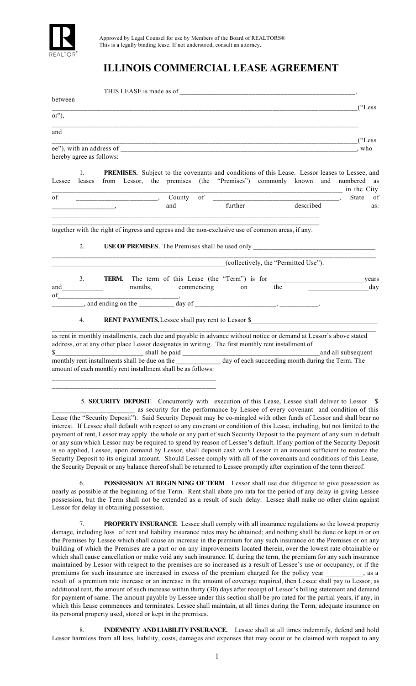

## **ILLINOIS COMMERCIAL LEASE AGREEMENT**

| between  |                                                                                                        |              |                                                                                                                                                                                                                                                                                                                                                                                                                                                                                 |                    |  |                                                                                                    |     |                                                                                                                    |  |                                                                                                                                                                                                                                           |
|----------|--------------------------------------------------------------------------------------------------------|--------------|---------------------------------------------------------------------------------------------------------------------------------------------------------------------------------------------------------------------------------------------------------------------------------------------------------------------------------------------------------------------------------------------------------------------------------------------------------------------------------|--------------------|--|----------------------------------------------------------------------------------------------------|-----|--------------------------------------------------------------------------------------------------------------------|--|-------------------------------------------------------------------------------------------------------------------------------------------------------------------------------------------------------------------------------------------|
| $or$ "), |                                                                                                        |              |                                                                                                                                                                                                                                                                                                                                                                                                                                                                                 |                    |  |                                                                                                    |     |                                                                                                                    |  |                                                                                                                                                                                                                                           |
| and      |                                                                                                        |              |                                                                                                                                                                                                                                                                                                                                                                                                                                                                                 |                    |  |                                                                                                    |     |                                                                                                                    |  |                                                                                                                                                                                                                                           |
|          | hereby agree as follows:                                                                               |              |                                                                                                                                                                                                                                                                                                                                                                                                                                                                                 |                    |  |                                                                                                    |     |                                                                                                                    |  | $($ "Less")<br>who                                                                                                                                                                                                                        |
| Lessee   | $1_{-}$<br>leases                                                                                      |              |                                                                                                                                                                                                                                                                                                                                                                                                                                                                                 |                    |  |                                                                                                    |     |                                                                                                                    |  | <b>PREMISES.</b> Subject to the covenants and conditions of this Lease. Lessor leases to Lessee, and<br>from Lessor, the premises (the "Premises") commonly known and numbered as<br><u>_________________________________</u> in the City |
| of       |                                                                                                        |              | $\overline{\phantom{a}}$ $\overline{\phantom{a}}$ $\overline{\phantom{a}}$ $\overline{\phantom{a}}$ $\overline{\phantom{a}}$ $\overline{\phantom{a}}$ $\overline{\phantom{a}}$ $\overline{\phantom{a}}$ $\overline{\phantom{a}}$ $\overline{\phantom{a}}$ $\overline{\phantom{a}}$ $\overline{\phantom{a}}$ $\overline{\phantom{a}}$ $\overline{\phantom{a}}$ $\overline{\phantom{a}}$ $\overline{\phantom{a}}$ $\overline{\phantom{a}}$ $\overline{\phantom{a}}$ $\overline{\$ |                    |  |                                                                                                    |     |                                                                                                                    |  | State<br>of                                                                                                                                                                                                                               |
|          |                                                                                                        |              |                                                                                                                                                                                                                                                                                                                                                                                                                                                                                 | and                |  | further                                                                                            |     | described                                                                                                          |  | as:                                                                                                                                                                                                                                       |
|          | 2.<br><b>USE OF PREMISES</b> . The Premises shall be used only<br>(collectively, the "Permitted Use"). |              |                                                                                                                                                                                                                                                                                                                                                                                                                                                                                 |                    |  |                                                                                                    |     |                                                                                                                    |  |                                                                                                                                                                                                                                           |
|          | 3.                                                                                                     | <b>TERM.</b> |                                                                                                                                                                                                                                                                                                                                                                                                                                                                                 |                    |  |                                                                                                    |     |                                                                                                                    |  | years                                                                                                                                                                                                                                     |
| and      |                                                                                                        |              |                                                                                                                                                                                                                                                                                                                                                                                                                                                                                 | months, commencing |  | on                                                                                                 | the |                                                                                                                    |  | day                                                                                                                                                                                                                                       |
| of       |                                                                                                        |              |                                                                                                                                                                                                                                                                                                                                                                                                                                                                                 |                    |  |                                                                                                    |     |                                                                                                                    |  |                                                                                                                                                                                                                                           |
|          | 4.                                                                                                     |              |                                                                                                                                                                                                                                                                                                                                                                                                                                                                                 |                    |  |                                                                                                    |     | RENT PAYMENTS. Lessee shall pay rent to Lessor \$_________________________________                                 |  |                                                                                                                                                                                                                                           |
|          |                                                                                                        |              |                                                                                                                                                                                                                                                                                                                                                                                                                                                                                 |                    |  | address, or at any other place Lessor designates in writing. The first monthly rent installment of |     | as rent in monthly installments, each due and payable in advance without notice or demand at Lessor's above stated |  | and all subsequent                                                                                                                                                                                                                        |
|          |                                                                                                        |              | amount of each monthly rent installment shall be as follows:                                                                                                                                                                                                                                                                                                                                                                                                                    |                    |  |                                                                                                    |     | \$                                                                                                                 |  |                                                                                                                                                                                                                                           |
|          |                                                                                                        |              |                                                                                                                                                                                                                                                                                                                                                                                                                                                                                 |                    |  |                                                                                                    |     |                                                                                                                    |  | 5. SECURITY DEPOSIT. Concurrently with execution of this Lease, Lessee shall deliver to Lessor \$<br>as security for the performance by Lessee of every covenant and condition of this                                                    |

\_\_\_\_\_\_\_\_\_\_\_\_\_\_\_\_\_\_\_\_\_\_\_\_ as security for the performance by Lessee of every covenant and condition of this Lease (the "Security Deposit"). Said Security Deposit may be co-mingled with other funds of Lessor and shall bear no interest. If Lessee shall default with respect to any covenant or condition of this Lease, including, but not limited to the payment of rent, Lessor may apply the whole or any part of such Security Deposit to the payment of any sum in default or any sum which Lessor may be required to spend by reason of Lessee's default. If any portion of the Security Deposit is so applied, Lessee, upon demand by Lessor, shall deposit cash with Lessor in an amount sufficient to restore the Security Deposit to its original amount. Should Lessee comply with all of the covenants and conditions of this Lease, the Security Deposit or any balance thereof shall be returned to Lessee promptly after expiration of the term thereof.

 6. **POSSESSION AT BEGIN NING OF TERM**. Lessor shall use due diligence to give possession as nearly as possible at the beginning of the Term. Rent shall abate pro rata for the period of any delay in giving Lessee possession, but the Term shall not be extended as a result of such delay. Lessee shall make no other claim against Lessor for delay in obtaining possession.

**PROPERTY INSURANCE**. Lessee shall comply with all insurance regulations so the lowest property damage, including loss of rent and liability insurance rates may be obtained; and nothing shall be done or kept in or on the Premises by Lessee which shall cause an increase in the premium for any such insurance on the Premises or on any building of which the Premises are a part or on any improvements located therein, over the lowest rate obtainable or which shall cause cancellation or make void any such insurance. If, during the term, the premium for any such insurance maintained by Lessor with respect to the premises are so increased as a result of Lessee's use or occupancy, or if the premiums for such insurance are increased in excess of the premium charged for the policy year \_\_\_\_\_\_\_\_\_\_\_, as a result of a premium rate increase or an increase in the amount of coverage required, then Lessee shall pay to Lessor, as additional rent, the amount of such increase within thirty (30) days after receipt of Lessor's billing statement and demand for payment of same. The amount payable by Lessee under this section shall be pro rated for the partial years, if any, in which this Lease commences and terminates. Lessee shall maintain, at all times during the Term, adequate insurance on its personal property used, stored or kept in the premises.

 8. **INDEMNITY AND LIABILITY INSURANCE.** Lessee shall at all times indemnify, defend and hold Lessor harmless from all loss, liability, costs, damages and expenses that may occur or be claimed with respect to any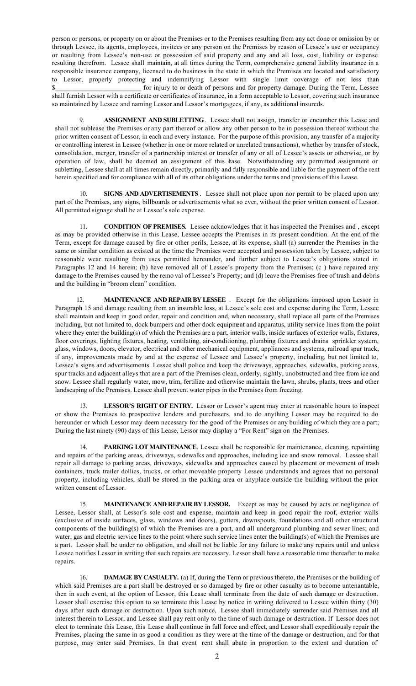person or persons, or property on or about the Premises or to the Premises resulting from any act done or omission by or through Lessee, its agents, employees, invitees or any person on the Premises by reason of Lessee's use or occupancy or resulting from Lessee's non-use or possession of said property and any and all loss, cost, liability or expense resulting therefrom. Lessee shall maintain, at all times during the Term, comprehensive general liability insurance in a responsible insurance company, licensed to do business in the state in which the Premises are located and satisfactory to Lessor, properly protecting and indemnifying Lessor with single limit coverage of not less than \$\_\_\_\_\_\_\_\_\_\_\_\_\_\_\_\_\_\_\_\_\_\_\_\_\_ for injury to or death of persons and for property damage. During the Term, Lessee shall furnish Lessor with a certificate or certificates of insurance, in a form acceptable to Lessor, covering such insurance so maintained by Lessee and naming Lessor and Lessor's mortgagees, if any, as additional insureds.

9. **ASSIGNMENT AND SUBLETTING**. Lessee shall not assign, transfer or encumber this Lease and shall not sublease the Premises or any part thereof or allow any other person to be in possession thereof without the prior written consent of Lessor, in each and every instance. For the purpose of this provision, any transfer of a majority or controlling interest in Lessee (whether in one or more related or unrelated transactions), whether by transfer of stock, consolidation, merger, transfer of a partnership interest or transfer of any or all of Lessee's assets or otherwise, or by operation of law, shall be deemed an assignment of this lease. Notwithstanding any permitted assignment or subletting, Lessee shall at all times remain directly, primarily and fully responsible and liable for the payment of the rent herein specified and for compliance with all of its other obligations under the terms and provisions of this Lease.

10. **SIGNS AND ADVERTISEMENTS** . Lessee shall not place upon nor permit to be placed upon any part of the Premises, any signs, billboards or advertisements what so ever, without the prior written consent of Lessor. All permitted signage shall be at Lessee's sole expense.

 11. **CONDITION OF PREMISES.** Lessee acknowledges that it has inspected the Premises and , except as may be provided otherwise in this Lease, Lessee accepts the Premises in its present condition. At the end of the Term, except for damage caused by fire or other perils, Lessee, at its expense, shall (a) surrender the Premises in the same or similar condition as existed at the time the Premises were accepted and possession taken by Lessee, subject to reasonable wear resulting from uses permitted hereunder, and further subject to Lessee's obligations stated in Paragraphs 12 and 14 herein; (b) have removed all of Lessee's property from the Premises; (c) have repaired any damage to the Premises caused by the remo val of Lessee's Property; and (d) leave the Premises free of trash and debris and the building in "broom clean" condition.

**MAINTENANCE AND REPAIR BY LESSEE** . Except for the obligations imposed upon Lessor in Paragraph 15 and damage resulting from an insurable loss, at Lessee's sole cost and expense during the Term, Lessee shall maintain and keep in good order, repair and condition and, when necessary, shall replace all parts of the Premises including, but not limited to, dock bumpers and other dock equipment and apparatus, utility service lines from the point where they enter the building(s) of which the Premises are a part, interior walls, inside surfaces of exterior walls, fixtures, floor coverings, lighting fixtures, heating, ventilating, air-conditioning, plumbing fixtures and drains sprinkler system, glass, windows, doors, elevator, electrical and other mechanical equipment, appliances and systems, railroad spur track, if any, improvements made by and at the expense of Lessee and Lessee's property, including, but not limited to, Lessee's signs and advertisements. Lessee shall police and keep the driveways, approaches, sidewalks, parking areas, spur tracks and adjacent alleys that are a part of the Premises clean, orderly, sightly, unobstructed and free from ice and snow. Lessee shall regularly water, mow, trim, fertilize and otherwise maintain the lawn, shrubs, plants, trees and other landscaping of the Premises. Lessee shall prevent water pipes in the Premises from freezing.

 13. **LESSOR'S RIGHT OF ENTRY.** Lessor or Lessor's agent may enter at reasonable hours to inspect or show the Premises to prospective lenders and purchasers, and to do anything Lessor may be required to do hereunder or which Lessor may deem necessary for the good of the Premises or any building of which they are a part; During the last ninety (90) days of this Lease, Lessor may display a "For Rent" sign on the Premises.

 14. **PARKING LOT MAINTENANCE**. Lessee shall be responsible for maintenance, cleaning, repainting and repairs of the parking areas, driveways, sidewalks and approaches, including ice and snow removal. Lessee shall repair all damage to parking areas, driveways, sidewalks and approaches caused by placement or movement of trash containers, truck trailer dollies, trucks, or other moveable property Lessee understands and agrees that no personal property, including vehicles, shall be stored in the parking area or anyplace outside the building without the prior written consent of Lessor.

 15. **MAINTENANCE AND REPAIR BY LESSOR.** Except as may be caused by acts or negligence of Lessee, Lessor shall, at Lessor's sole cost and expense, maintain and keep in good repair the roof, exterior walls (exclusive of inside surfaces, glass, windows and doors), gutters, downspouts, foundations and all other structural components of the building(s) of which the Premises are a part, and all underground plumbing and sewer lines; and water, gas and electric service lines to the point where such service lines enter the building(s) of which the Premises are a part. Lessor shall be under no obligation, and shall not be liable for any failure to make any repairs until and unless Lessee notifies Lessor in writing that such repairs are necessary. Lessor shall have a reasonable time thereafter to make repairs.

 16. **DAMAGE BY CASUALTY.** (a) If, during the Term or previous thereto, the Premises or the building of which said Premises are a part shall be destroyed or so damaged by fire or other casualty as to become untenantable, then in such event, at the option of Lessor, this Lease shall terminate from the date of such damage or destruction. Lessor shall exercise this option to so terminate this Lease by notice in writing delivered to Lessee within thirty (30) days after such damage or destruction. Upon such notice, Lessee shall immediately surrender said Premises and all interest therein to Lessor, and Lessee shall pay rent only to the time of such damage or destruction. If Lessor does not elect to terminate this Lease, this Lease shall continue in full force and effect, and Lessor shall expeditiously repair the Premises, placing the same in as good a condition as they were at the time of the damage or destruction, and for that purpose, may enter said Premises. In that event rent shall abate in proportion to the extent and duration of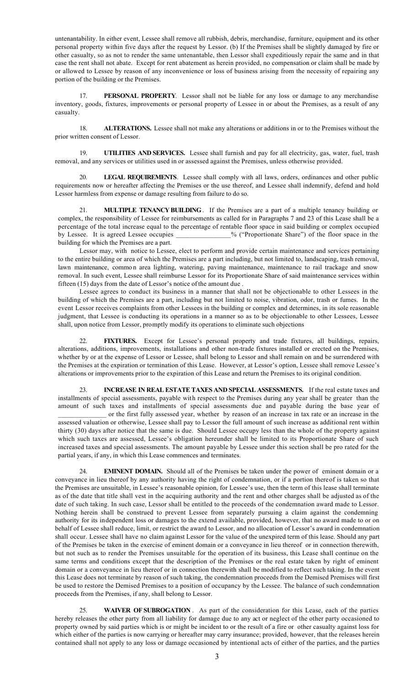untenantability. In either event, Lessee shall remove all rubbish, debris, merchandise, furniture, equipment and its other personal property within five days after the request by Lessor. (b) If the Premises shall be slightly damaged by fire or other casualty, so as not to render the same untenantable, then Lessor shall expeditiously repair the same and in that case the rent shall not abate. Except for rent abatement as herein provided, no compensation or claim shall be made by or allowed to Lessee by reason of any inconvenience or loss of business arising from the necessity of repairing any portion of the building or the Premises.

 17. **PERSONAL PROPERTY**. Lessor shall not be liable for any loss or damage to any merchandise inventory, goods, fixtures, improvements or personal property of Lessee in or about the Premises, as a result of any casualty.

 18. **ALTERATIONS.** Lessee shall not make any alterations or additions in or to the Premises without the prior written consent of Lessor.

 19. **UTILITIES AND SERVICES.** Lessee shall furnish and pay for all electricity, gas, water, fuel, trash removal, and any services or utilities used in or assessed against the Premises, unless otherwise provided.

 20. **LEGAL REQUIREMENTS**. Lessee shall comply with all laws, orders, ordinances and other public requirements now or hereafter affecting the Premises or the use thereof, and Lessee shall indemnify, defend and hold Lessor harmless from expense or damage resulting from failure to do so.

21. **MULTIPLE TENANCY BUILDING**. If the Premises are a part of a multiple tenancy building or complex, the responsibility of Lessee for reimbursements as called for in Paragraphs 7 and 23 of this Lease shall be a percentage of the total increase equal to the percentage of rentable floor space in said building or complex occupied by Lessee. It is agreed Lessee occupies \_\_\_\_\_\_\_\_\_\_\_\_\_\_\_\_% ("Proportionate Share") of the floor space in the building for which the Premises are a part.

Lessor may, with notice to Lessee, elect to perform and provide certain maintenance and services pertaining to the entire building or area of which the Premises are a part including, but not limited to, landscaping, trash removal, lawn maintenance, commo n area lighting, watering, paving maintenance, maintenance to rail trackage and snow removal. In such event, Lessee shall reimburse Lessor for its Proportionate Share of said maintenance services within fifteen (15) days from the date of Lessor's notice of the amount due .

Lessee agrees to conduct its business in a manner that shall not be objectionable to other Lessees in the building of which the Premises are a part, including but not limited to noise, vibration, odor, trash or fumes. In the event Lessor receives complaints from other Lessees in the building or complex and determines, in its sole reasonable judgment, that Lessee is conducting its operations in a manner so as to be objectionable to other Lessees, Lessee shall, upon notice from Lessor, promptly modify its operations to eliminate such objections

FIXTURES. Except for Lessee's personal property and trade fixtures, all buildings, repairs, alterations, additions, improvements, installations and other non-trade fixtures installed or erected on the Premises, whether by or at the expense of Lessor or Lessee, shall belong to Lessor and shall remain on and be surrendered with the Premises at the expiration or termination of this Lease. However, at Lessor's option, Lessee shall remove Lessee's alterations or improvements prior to the expiration of this Lease and return the Premises to its original condition.

23. **INCREASE IN REAL ESTATE TAXES AND SPECIAL ASSESSMENTS.** If the real estate taxes and installments of special assessments, payable with respect to the Premises during any year shall be greater than the amount of such taxes and installments of special assessments due and payable during the base year of \_\_\_\_\_\_\_\_\_\_\_\_\_\_ or the first fully assessed year, whether by reason of an increase in tax rate or an increase in the assessed valuation or otherwise, Lessee shall pay to Lessor the full amount of such increase as additional rent within thirty (30) days after notice that the same is due. Should Lessee occupy less than the whole of the property against which such taxes are assessed, Lessee's obligation hereunder shall be limited to its Proportionate Share of such increased taxes and special assessments. The amount payable by Lessee under this section shall be pro rated for the partial years, if any, in which this Lease commences and terminates.

24. **EMINENT DOMAIN.** Should all of the Premises be taken under the power of eminent domain or a conveyance in lieu thereof by any authority having the right of condemnation, or if a portion thereof is taken so that the Premises are unsuitable, in Lessee's reasonable opinion, for Lessee's use, then the term of this lease shall terminate as of the date that title shall vest in the acquiring authority and the rent and other charges shall be adjusted as of the date of such taking. In such case, Lessor shall be entitled to the proceeds of the condemnation award made to Lessor. Nothing herein shall be construed to prevent Lessee from separately pursuing a claim against the condemning authority for its independent loss or damages to the extend available, provided, however, that no award made to or on behalf of Lessee shall reduce, limit, or restrict the award to Lessor, and no allocation of Lessor's award in condemnation shall occur. Lessee shall have no claim against Lessor for the value of the unexpired term of this lease. Should any part of the Premises be taken in the exercise of eminent domain or a conveyance in lieu thereof or in connection therewith, but not such as to render the Premises unsuitable for the operation of its business, this Lease shall continue on the same terms and conditions except that the description of the Premises or the real estate taken by right of eminent domain or a conveyance in lieu thereof or in connection therewith shall be modified to reflect such taking. In the event this Lease does not terminate by reason of such taking, the condemnation proceeds from the Demised Premises will first be used to restore the Demised Premises to a position of occupancy by the Lessee. The balance of such condemnation proceeds from the Premises, if any, shall belong to Lessor.

25. **WAIVER OF SUBROGATION** . As part of the consideration for this Lease, each of the parties hereby releases the other party from all liability for damage due to any act or neglect of the other party occasioned to property owned by said parties which is or might be incident to or the result of a fire or other casualty against loss for which either of the parties is now carrying or hereafter may carry insurance; provided, however, that the releases herein contained shall not apply to any loss or damage occasioned by intentional acts of either of the parties, and the parties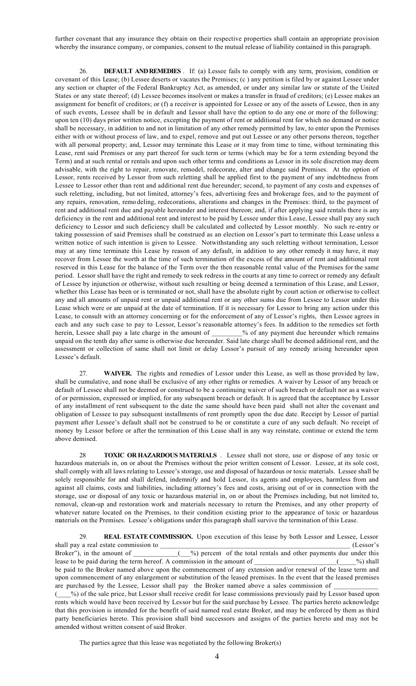further covenant that any insurance they obtain on their respective properties shall contain an appropriate provision whereby the insurance company, or companies, consent to the mutual release of liability contained in this paragraph.

26. **DEFAULT AND REMEDIES** . If: (a) Lessee fails to comply with any term, provision, condition or covenant of this Lease; (b) Lessee deserts or vacates the Premises; (c ) any petition is filed by or against Lessee under any section or chapter of the Federal Bankruptcy Act, as amended, or under any similar law or statute of the United States or any state thereof; (d) Lessee becomes insolvent or makes a transfer in fraud of creditors; (e) Lessee makes an assignment for benefit of creditors; or (f) a receiver is appointed for Lessee or any of the assets of Lessee, then in any of such events, Lessee shall be in default and Lessor shall have the option to do any one or more of the following: upon ten (10) days prior written notice, excepting the payment of rent or additional rent for which no demand or notice shall be necessary, in addition to and not in limitation of any other remedy permitted by law, to enter upon the Premises either with or without process of law, and to expel, remove and put out Lessee or any other persons thereon, together with all personal property; and, Lessor may terminate this Lease or it may from time to time, without terminating this Lease, rent said Premises or any part thereof for such term or terms (which may be for a term extending beyond the Term) and at such rental or rentals and upon such other terms and conditions as Lessor in its sole discretion may deem advisable, with the right to repair, renovate, remodel, redecorate, alter and change said Premises. At the option of Lessor, rents received by Lessor from such reletting shall be applied first to the payment of any indebtedness from Lessee to Lessor other than rent and additional rent due hereunder; second, to payment of any costs and expenses of such reletting, including, but not limited, attorney's fees, advertising fees and brokerage fees, and to the payment of any repairs, renovation, remo deling, redecorations, alterations and changes in the Premises: third, to the payment of rent and additional rent due and payable hereunder and interest thereon; and, if after applying said rentals there is any deficiency in the rent and additional rent and interest to be paid by Lessee under this Lease, Lessee shall pay any such deficiency to Lessor and such deficiency shall be calculated and collected by Lessor monthly. No such re-entry or taking possession of said Premises shall be construed as an election on Lessor's part to terminate this Lease unless a written notice of such intention is given to Lessee. Notwithstanding any such reletting without termination, Lessor may at any time terminate this Lease by reason of any default, in addition to any other remedy it may have, it may recover from Lessee the worth at the time of such termination of the excess of the amount of rent and additional rent reserved in this Lease for the balance of the Term over the then reasonable rental value of the Premises for the same period. Lessor shall have the right and remedy to seek redress in the courts at any time to correct or remedy any default of Lessee by injunction or otherwise, without such resulting or being deemed a termination of this Lease, and Lessor, whether this Lease has been or is terminated or not, shall have the absolute right by court action or otherwise to collect any and all amounts of unpaid rent or unpaid additional rent or any other sums due from Lessee to Lessor under this Lease which were or are unpaid at the date of termination. If it is necessary for Lessor to bring any action under this Lease, to consult with an attorney concerning or for the enforcement of any of Lessor's rights, then Lessee agrees in each and any such case to pay to Lessor, Lessor's reasonable attorney's fees. In addition to the remedies set forth herein, Lessee shall pay a late charge in the amount of \_\_\_\_\_\_\_% of any payment due hereunder which remains unpaid on the tenth day after same is otherwise due hereunder. Said late charge shall be deemed additional rent, and the assessment or collection of same shall not limit or delay Lessor's pursuit of any remedy arising hereunder upon Lessee's default.

27. **WAIVER.** The rights and remedies of Lessor under this Lease, as well as those provided by law, shall be cumulative, and none shall be exclusive of any other rights or remedies. A waiver by Lessor of any breach or default of Lessee shall not be deemed or construed to be a continuing waiver of such breach or default nor as a waiver of or permission, expressed or implied, for any subsequent breach or default. It is agreed that the acceptance by Lessor of any installment of rent subsequent to the date the same should have been paid shall not alter the covenant and obligation of Lessee to pay subsequent installments of rent promptly upon the due date. Receipt by Lessor of partial payment after Lessee's default shall not be construed to be or constitute a cure of any such default. No receipt of money by Lessor before or after the termination of this Lease shall in any way reinstate, continue or extend the term above demised.

28 **TOXIC OR HAZARDOUS MATERIALS** . Lessee shall not store, use or dispose of any toxic or hazardous materials in, on or about the Premises without the prior written consent of Lessor. Lessee, at its sole cost, shall comply with all laws relating to Lessee's storage, use and disposal of hazardous or toxic materials. Lessee shall be solely responsible for and shall defend, indemnify and hold Lessor, its agents and employees, harmless from and against all claims, costs and liabilities, including attorney's fees and costs, arising out of or in connection with the storage, use or disposal of any toxic or hazardous material in, on or about the Premises including, but not limited to, removal, clean-up and restoration work and materials necessary to return the Premises, and any other property of whatever nature located on the Premises, to their condition existing prior to the appearance of toxic or hazardous materials on the Premises. Lessee's obligations under this paragraph shall survive the termination of this Lease.

29. **REAL ESTATE COMMISSION.** Upon execution of this lease by both Lessor and Lessee, Lessor shall pay a real estate commission to \_\_\_\_\_\_\_\_\_\_\_\_\_\_\_\_\_\_\_\_\_\_\_\_\_\_\_\_\_\_\_\_\_\_\_\_\_\_\_\_\_\_\_\_\_\_\_\_\_\_\_\_\_\_ (Lessor's Broker"), in the amount of  $\qquad \qquad$  ( $\qquad$ %) percent of the total rentals and other payments due under this lease to be paid during the term hereof. A commission in the amount of \_\_\_\_\_\_\_\_\_\_\_\_\_\_\_\_\_\_\_\_\_\_\_(\_\_\_\_%) shall be paid to the Broker named above upon the commencement of any extension and/or renewal of the lease term and upon commencement of any enlargement or substitution of the leased premises. In the event that the leased premises are purchased by the Lessee, Lessor shall pay the Broker named above a sales commission of \_ ( $\_\_\%$ ) of the sale price, but Lessor shall receive credit for lease commissions previously paid by Lessor based upon rents which would have been received by Lessor but for the said purchase by Lessee. The parties hereto acknowledge that this provision is intended for the benefit of said named real estate Broker, and may be enforced by them as third party beneficiaries hereto. This provision shall bind successors and assigns of the parties hereto and may not be amended without written consent of said Broker.

The parties agree that this lease was negotiated by the following Broker(s)